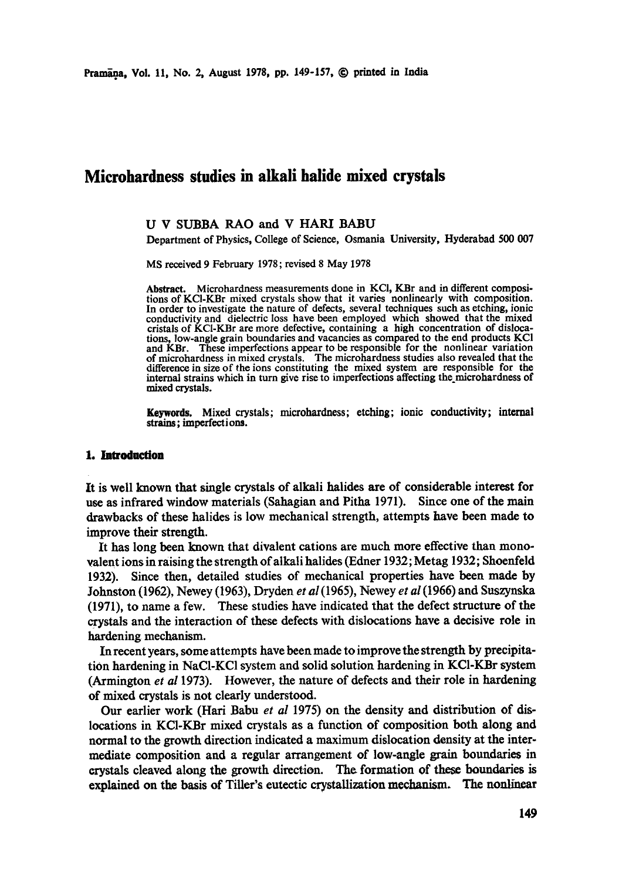# **Mierohardness studies in alkali halide mixed crystals**

#### U V SUBBA RAO and V HARI BABU

Department of Physics, College of Science, Osmania University, Hyderabad 500 007

MS received 9 February 1978; revised 8 May 1978

**Abstract.** Microhardness measurements done in KCI, KBr and in different compositions of KCI-KBr mixed crystals show that it varies nonlinearly with composition. In order to investigate the nature of defects, several techniques such as etching, ionic conductivity and dielectric loss have been employed which showed that the mixed cristals of KCI-KBr are more defective, containing a high concentration of dislocations, low-angle grain boundaries and vacancies as compared to the end products KCI and KBr. These imperfections appear to be responsible for the nonlinear variation of microhardness in mixed crystals. The microhardness studies also revealed that the difference in size of the ions constituting the mixed system are responsible for the internal strains which in turn give rise to imperfections affecting the microhardness of mixed crystals.

**Keywords.** Mixed crystals; microhardness; etching; ionic conductivity; internal strains; imperfect ions.

#### **1. Introduction**

It is well known that single crystals of alkali halides are of considerable interest **for**  use as infrared window materials (Sahagian and Pitha 1971). Since one of the main drawbacks of these halides is low mechanical strength, attempts have been made to improve their strength.

It has long been known that divalent cations are much more effective than monovalent ions in raising the strength of alkali halides (Edner 1932; Metag 1932; Shoenfeld 1932). Since then, detailed studies of mechanical properties have been made by Johnston (1962), Newey (1963), Dryden *et al (1965),* Newey *et al (1966)* and Suszynska (1971), to name a few. These studies have indicated that the defect structure of the crystals and the interaction of these defects with dislocations have a decisive role in hardening mechanism.

In recent years, some attempts have been made to improve the strength by precipitation hardening in NaC1-KC1 system and solid solution hardening in KC1-KBr system (Armington *et al* 1973). However, the nature of defects and their role in hardening of mixed crystals is not clearly understood.

Our earlier work (Hari Babu *et al* 1975) on the density and distribution of dislocations in KC1-KBr mixed crystals as a function of composition both along and normal to the growth direction indicated a maximum dislocation density at the intermediate composition and a regular arrangement of low-angle grain boundaries in crystals cleaved along the growth direction. The formation of these boundaries is explained on the basis of TiUer's eutectic crystallization mechanism. The nonlinear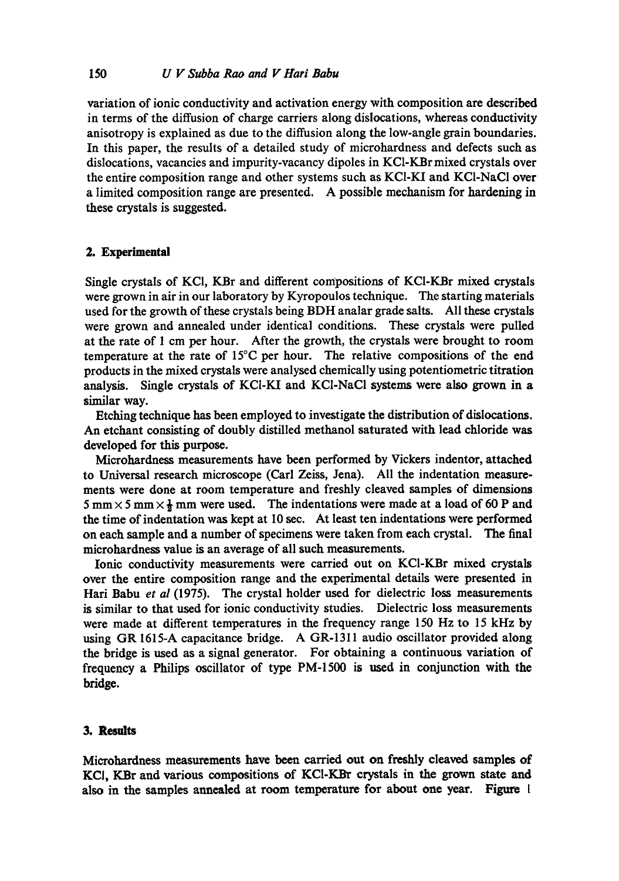variation of ionic conductivity and activation energy with composition are described in terms of the diffusion of charge carriers along dislocations, whereas conductivity anisotropy is explained as due to the diffusion along the low-angle grain boundaries. In this paper, the results of a detailed study of microhardness and defects such as dislocations, vacancies and impurity-vacancy dipoles in KC1-KBrmixed crystals over the entire composition range and other systems such as KC1-KI and KCI-NaCI over a limited composition range are presented. A possible mechanism for hardening in these crystals is suggested.

# **2. Experimental**

Single crystals of KCI, KBr and different compositions of KCI-KBr mixed crystals were grown in air in our laboratory by Kyropoulos technique. The starting materials used for the growth of these crystals being BDH analar grade salts. All these crystals were grown and annealed under identical conditions. These crystals were pulled at the rate of 1 cm per hour. After the growth, the crystals were brought to room temperature at the rate of 15°C per hour. The relative compositions of the end products in the mixed crystals were analysed chemically using potentiometric titration analysis. Single crystals of KC1-KI and KCI-NaCI systems were also grown in a similar way.

Etching technique has been employed to investigate the distribution of dislocations. An etchant consisting of doubly distilled methanol saturated with lead chloride was developed for this purpose.

Microhardness measurements have been performed by Vickers indentor, attached to Universal research microscope (Carl Zeiss, Jena). All the indentation measurements were done at room temperature and freshly cleaved samples of dimensions 5 mm  $\times$  5 mm  $\times$   $\frac{1}{2}$  mm were used. The indentations were made at a load of 60 P and the time of indentation was kept at I0 sec. At least ten indentations were performed on each sample and a number of specimens were taken from each crystal. The final microhardness value is an average of all such measurements.

Ionic conductivity measurements were carried out on KCI-KBr mixed crystals over the entire composition range and the experimental details were presented in Hari Babu et al (1975). The crystal holder used for dielectric loss measurements is similar to that used for ionic conductivity studies. Dielectric loss measurements were made at different temperatures in the frequency range 150 Hz to 15 kHz by using GR 1615-A capacitance bridge. A GR-1311 audio oscillator provided along the bridge is used as a signal generator. For obtaining a continuous variation of frequency a Philips oscillator of type PM-1500 is used in conjunction with the bridge.

## 3. Results

Microhardness measurements have been carried out on freshly cleaved samples **of**  KCI, KBr and various compositions of KCI-KBr crystals in the grown state and also in the samples annealed at room temperature for about one year. Figure 1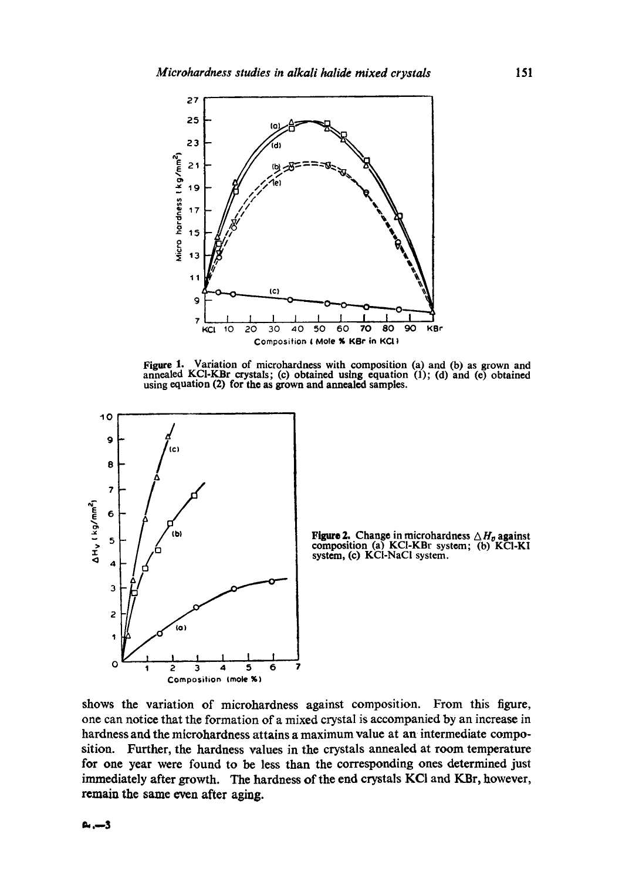

**Figure 1. Variation of microhardness with composition (a) and (b) as grown and annealed KCI-KBr crystals; (c) obtained using equation (1); (d) and (e) obtained using equation (2) for the as grown and annealed samples.** 





**shows the variation of microhardness against composition. From this figure, one can notice that the formation of a mixed crystal is accompanied by an increase in hardness and the mierohardness attains a maximum value at an intermediate composition. Further, the hardness values in the crystals annealed at room temperature for one year were found to be less than the corresponding ones determined just immediately after growth. The hardness of the end crystals KCI and KBr, however, remain the same even after aging.**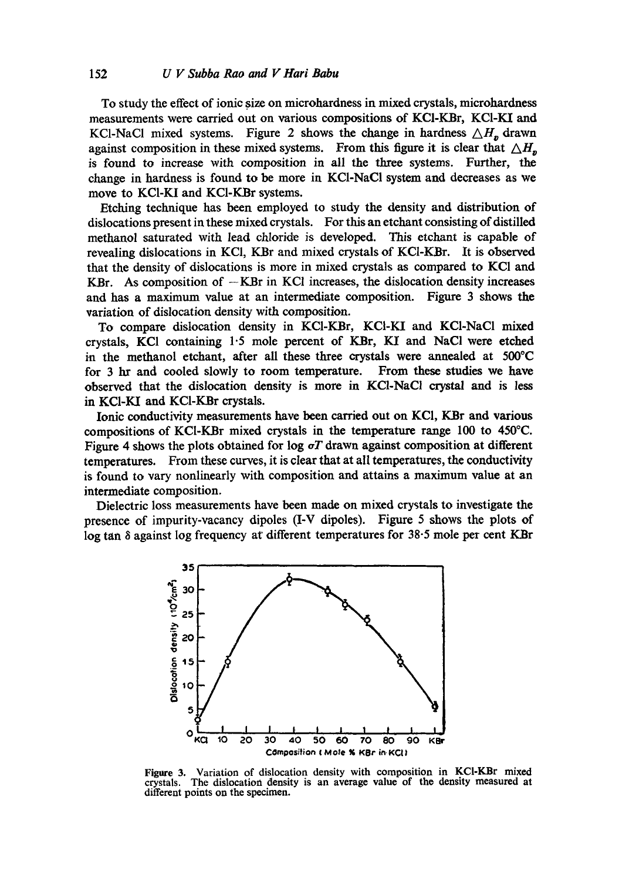To study the effect of ionic size on microhardness in mixed crystals, microhardness measurements were carried out on various compositions of KCI-KBr, KCI-KI and KCl-NaCl mixed systems. Figure 2 shows the change in hardness  $\triangle H$ , drawn against composition in these mixed systems. From this figure it is clear that  $\Delta H_n$ is found to increase with composition in all the three systems. Further, the change in hardness is found to be more in KCI-NaCI system and decreases as we move to KCI-KI and KCI-KBr systems.

Etching technique has been employed to study the density and distribution of dislocations present in these mixed crystals. For this an etchant consisting of distilled methanol saturated with lead chloride is developed. This etchant is capable of revealing dislocations in KCI, KBr and mixed crystals of KC1-KBr. It is observed that the density of dislocations is more in mixed crystals as compared to KCI and  $KBr.$  As composition of  $-KBr$  in KC1 increases, the dislocation density increases and has a maximum value at an intermediate composition. Figure 3 shows the variation of dislocation density with composition.

To compare dislocation density in KC1-KBr, KCI-KI and KC1-NaCI mixed crystals, KCI containing  $1.5$  mole percent of KBr, KI and NaCl were etched in the methanol etchant, after all these three crystals were annealed at  $500^{\circ}$ C for 3 hr and cooled slowly to room temperature. From these studies we have observed that the dislocation density is more in KC1-NaCI crystal and is less in KCI-KI and KCI-KBr crystals.

Ionic conductivity measurements have been carried out on KCI, KBr and various compositions of KCI-KBr mixed crystals in the temperature range 100 to 450°C. Figure 4 shows the plots obtained for log  $\sigma T$  drawn against composition at different temperatures. From these curves, it is clear that at all temperatures, the conductivity is found to vary nonlinearly with composition and attains a maximum value at an intermediate composition.

Dielectric loss measurements have been made on mixed crystals to investigate the presence of impurity-vacancy dipoles (I-V dipoles). Figure 5 shows the plots of  $\log \tan \delta$  against log frequency at different temperatures for 38.5 mole per cent KBr



**Figure 3. Variation of dislocation density with composition in KCI-KBr mixed crystals. The dislocation density is an average value of the density measured at different points on the specimen.**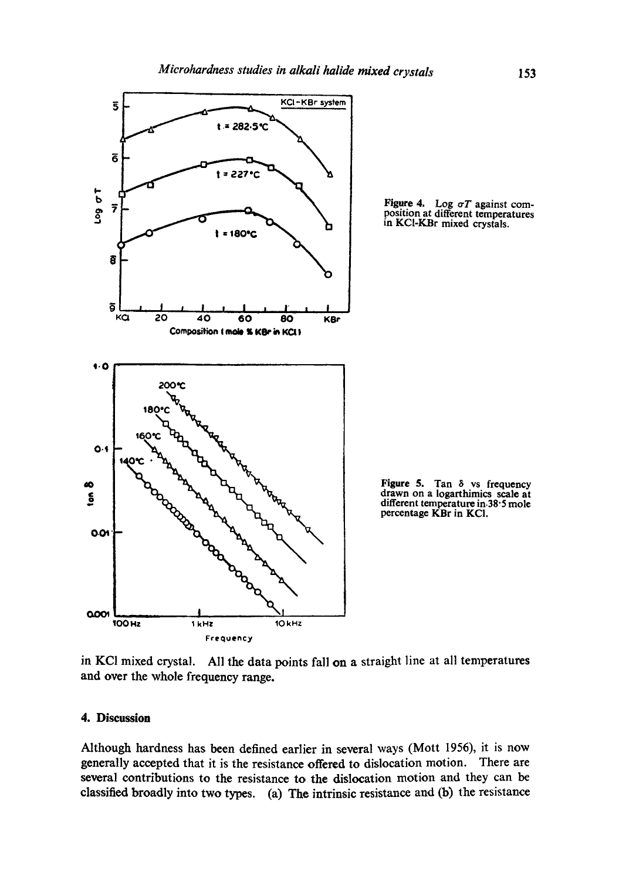

in KCI mixed crystal. All the data points fall on a straight line at all temperatures and over the whole frequency range.

# **4. Discussion**

Although hardness has been defined earlier in several ways (Mott 1956), it is now generally accepted that it is the resistance offered to dislocation motion. There are several contributions to the resistance to the dislocation motion and they can be classified broadly into two types. (a) The intrinsic resistance and (b) the resistance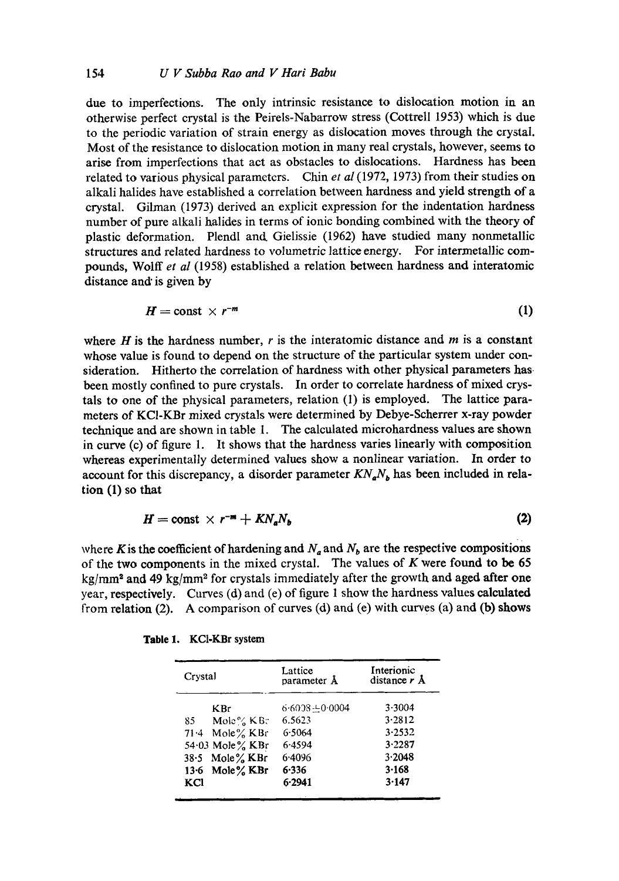due to imperfections. The only intrinsic resistance to dislocation motion in an otherwise perfect crystal is the Peirels-Nabarrow stress (Cottrell 1953) which is due to the periodic variation of strain energy as dislocation moves through the crystal. Most of the resistance to dislocation motion in many real crystals, however, seems to arise from imperfections that act as obstacles to dislocations. Hardness has been related to various physical parameters. Chin *et al* (1972, 1973) from their studies on alkali halides have established a correlation between hardness and yield strength of a crystal. Gilman (1973) derived an explicit expression for the indentation hardness number of pure alkali halides in terms of ionic bonding combined with the theory of plastic deformation. Plendl and Gielissie (1962) have studied many nonmetallic structures and related hardness to volumetric lattice energy. For intermetallic compounds, Wolff *et al* (1958) established a relation between hardness and interatomic distance and is given by

$$
H = \text{const} \times r^{-m} \tag{1}
$$

where  $H$  is the hardness number,  $r$  is the interatomic distance and  $m$  is a constant whose value is found to depend on the structure of the particular system under consideration. Hitherto the correlation of hardness with other physical parameters has been mostly confined to pure crystals. In order to correlate hardness of mixed crystals to one of the physical parameters, relation  $(1)$  is employed. The lattice parameters of KCI-KBr mixed crystals were determined by Debye-Scherrer x-ray powder technique and are shown in table 1. The calculated microhardness values are shown in curve (c) of figure 1. It shows that the hardness varies linearly with composition whereas experimentally determined values show a nonlinear variation. In order to account for this discrepancy, a disorder parameter  $KN_aN_b$  has been included in relation (1) so that

$$
H = \text{const} \times r^{-m} + KN_a N_b \tag{2}
$$

where K is the coefficient of hardening and  $N_a$  and  $N_b$  are the respective compositions of the two components in the mixed crystal. The values of  $K$  were found to be 65 kg/mm<sup>2</sup> and 49 kg/mm<sup>2</sup> for crystals immediately after the growth and aged after one year, respectively. Curves (d) and (e) of figure 1 show the hardness values calculated from relation  $(2)$ . A comparison of curves  $(d)$  and  $(e)$  with curves  $(a)$  and  $(b)$  shows

| Crystal |                     | Lattice<br>parameter A | Interionic<br>distance $r \, \text{A}$ |
|---------|---------------------|------------------------|----------------------------------------|
|         | <b>KBr</b>          | $6.6038 + 0.0004$      | $3 - 3004$                             |
| 85.     | Mole% $KB$ :        | 6.5623                 | 3.2812                                 |
|         | 71.4 Mole $\%$ KBr  | 6.5064                 | 3.2532                                 |
|         | 54.03 Mole $\%$ KBr | 6.4594                 | 3.2287                                 |
|         | 38.5 Mole% KBr      | 6.4096                 | 3.2048                                 |
|         | 13.6 Mole $\%$ KBr  | 6.336                  | 3.168                                  |
| KCl     |                     | 6.2941                 | 3.147                                  |

|  | Table 1. |  | <b>KCI-KBr</b> system |  |
|--|----------|--|-----------------------|--|
|--|----------|--|-----------------------|--|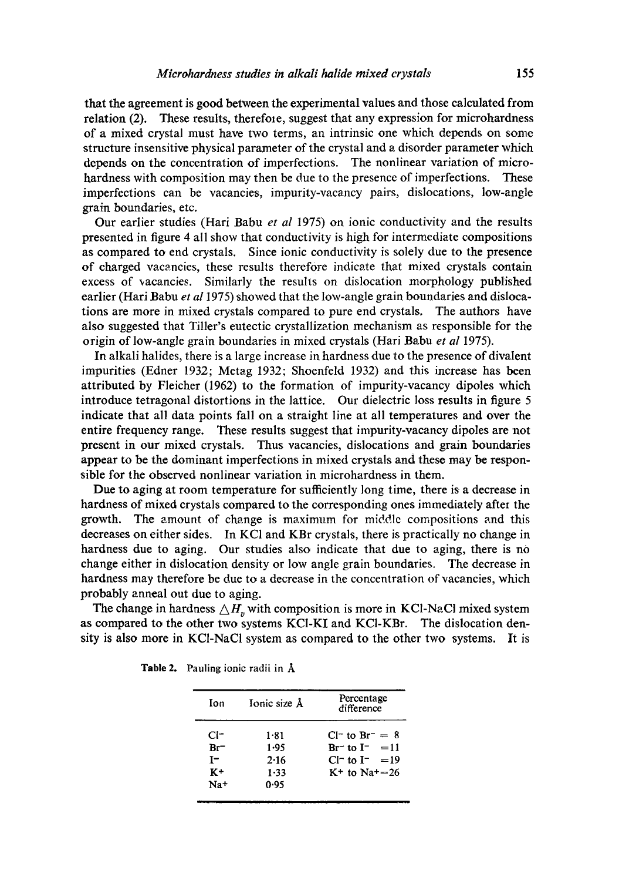that the agreement is good between the experimental values and those calculated from relation (2). These results, therefore, suggest that any expression for microhardness of a mixed crystal must have two terms, an intrinsic one which depends on some structure insensitive physical parameter of the crystal and a disorder parameter which depends on the concentration of imperfections. The nonlinear variation of microhardness with composition may then be due to the presence of imperfections. These imperfections can be vacancies, impurity-vacancy pairs, dislocations, low-angle grain boundaries, etc.

Our earlier studies (Hari Babu *et al* 1975) on ionic conductivity and the results presented in figure 4 all show that conductivity is high for intermediate compositions as compared to end crystals. Since ionic conductivity is solely due to the presence of charged vacancies, these results therefore indicate that mixed crystals contain excess of vacancies. Similarly the results on dislocation morphology published earlier (Hari Babu *et al* 1975) showed that the low-angle grain boundaries and dislocations are more in mixed crystals compared to pure end crystals, The authors have also suggested that Tiller's eutectic crystallization mechanism as responsible for the origin of low-angle grain boundaries in mixed crystals (Hari Babu *et al* 1975).

In alkali halides, there is a large increase in hardness due to the presence of divalent impurities (Edner 1932; Metag 1932; Shoenfeld 1932) and this increase has been attributed by Fleicher (1962) to the formation of impurity-vacancy dipoles which introduce tetragonal distortions in the lattice. Our dielectric loss results in figure 5 indicate that all data points fall on a straight line at all temperatures and over the entire frequency range. These results suggest that impurity-vacancy dipoles are not present in our mixed crystals. Thus vacancies, dislocations and grain boundaries appear to be the dominant imperfections in mixed crystals and these may be responsible for the observed nonlinear variation in microhardness in them.

Due to aging at room temperature for sufficiently long time, there is a decrease in hardness of mixed crystals compared to the corresponding ones immediately after the growth. The amount of change is maximum for middlc compositions and this decreases on either sides. In KCI and KBr crystals, there is practically no change in hardness due to aging. Our studies also indicate that due to aging, there is no change either in dislocation density or low angle grain boundaries. The decrease in hardness may therefore be due to a decrease in the concentration of vacancies, which probably anneal out due to aging.

The change in hardness  $\triangle H_n$  with composition is more in KCl-NaCl mixed system as compared to the other two systems KCI-KI and KC1-KBr. The dislocation density is also more in KC1-NaC1 system as compared to the other two systems. It is

| Ion    | Ionic size Å | Percentage<br>difference |
|--------|--------------|--------------------------|
| $Cl^-$ | 1.81         | $Cl^-$ to $Br^- = 8$     |
| $Br^-$ | 1.95         | $Br^-$ to $I^-$ = 11     |
| T-     | 2.16         | $Cl^-$ to $I^-$ = 19     |
| $K+$   | $1 - 33$     | $K^+$ to Na+=26          |
| $Na+$  | 0.95         |                          |

Table 2. Pauling ionic radii in A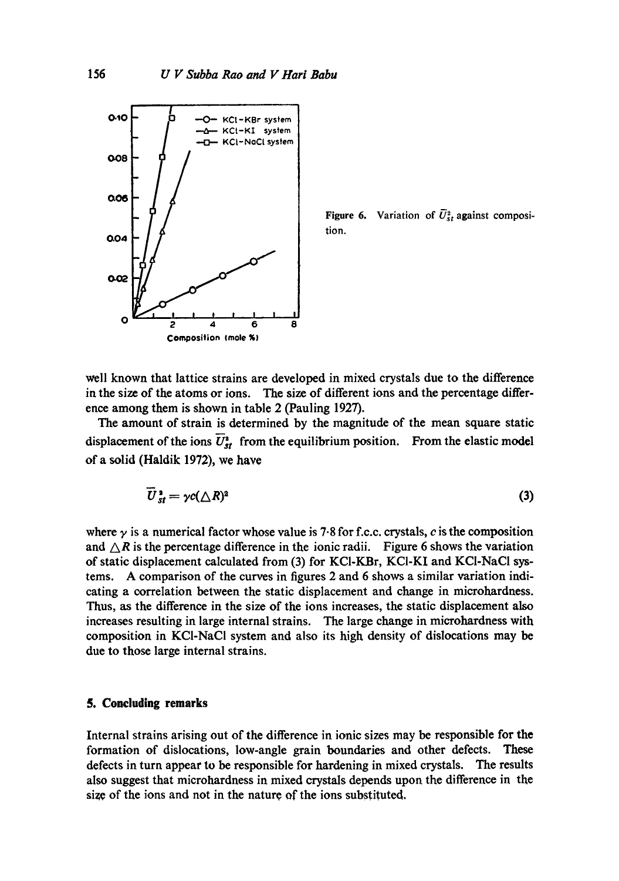

**Figure 6.** Variation of  $U_{st}^2$  against composition.

well known that lattice strains are developed in mixed crystals due to the difference in the size of the atoms or ions. The size of different ions and the percentage difference among them is shown in table 2 (Pauling 1927).

The amount of strain is determined by the magnitude of the mean square static displacement of the ions  $\overline{U_{st}}^s$  from the equilibrium position. From the elastic model of a solid (Haldik 1972), we have

$$
\overline{U}_{st}^2 = \gamma c (\triangle R)^2 \tag{3}
$$

where  $\gamma$  is a numerical factor whose value is 7.8 for f.c.c. crystals, c is the composition and  $\triangle R$  is the percentage difference in the ionic radii. Figure 6 shows the variation of static displacement calculated from (3) for KCI-KBr, KCI-KI and KCI-NaCI systems. A comparison of the curves in figures 2 and 6 shows a similar variation indicating a correlation between the static displacement and change in microhardness. Thus, as the difference in the size of the ions increases, the static displacement also increases resulting in large internal strains. The large change in microhardness with composition in KCI-NaCl system and also its high density of dislocations may be due to those large internal strains.

## **5. Concluding remarks**

Internal strains arising out of the difference in ionic sizes may be responsible for the formation of dislocations, low-angle grain boundaries and other defects. These defects in turn appear to be responsible for hardening in mixed crystals. The results also suggest that microhardness in mixed crystals depends upon the difference in the size of the ions and not in the nature of the ions substituted.